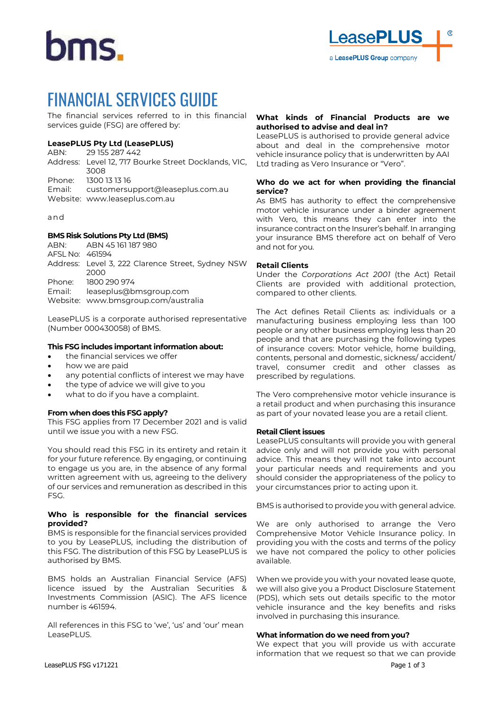# hms.

# FINANCIAL SERVICES GUIDE

The financial services referred to in this financial services guide (FSG) are offered by:

# **LeasePLUS Pty Ltd (LeasePLUS)**

```
ABN: 29 155 287 442
Address: Level 12, 717 Bourke Street Docklands, VIC, 
         3008
Phone: 1300 13 13 16
Email: customersupport@leaseplus.com.au
Website: www.leaseplus.com.au
```
and

# **BMS Risk Solutions Pty Ltd (BMS)**

ABN: ABN 45 161 187 980 AFSL No: 461594 Address: Level 3, 222 Clarence Street, Sydney NSW 2000 Phone: 1800 290 974 Email: leaseplus@bmsgroup.com Website: [www.bmsgroup.com/australia](http://www.bmsgroup.com/australia)

LeasePLUS is a corporate authorised representative (Number 000430058) of BMS.

# **This FSG includes important information about:**

- the financial services we offer
- how we are paid
- any potential conflicts of interest we may have
- the type of advice we will give to you
- what to do if you have a complaint.

# **From when does this FSG apply?**

This FSG applies from 17 December 2021 and is valid until we issue you with a new FSG.

You should read this FSG in its entirety and retain it for your future reference. By engaging, or continuing to engage us you are, in the absence of any formal written agreement with us, agreeing to the delivery of our services and remuneration as described in this FSG.

#### **Who is responsible for the financial services provided?**

BMS is responsible for the financial services provided to you by LeasePLUS, including the distribution of this FSG. The distribution of this FSG by LeasePLUS is authorised by BMS.

BMS holds an Australian Financial Service (AFS) licence issued by the Australian Securities & Investments Commission (ASIC). The AFS licence number is 461594.

All references in this FSG to 'we', 'us' and 'our' mean LeasePLUS.

#### **What kinds of Financial Products are we authorised to advise and deal in?**

LeasePLUS is authorised to provide general advice about and deal in the comprehensive motor vehicle insurance policy that is underwritten by AAI Ltd trading as Vero Insurance or "Vero".

# **Who do we act for when providing the financial service?**

As BMS has authority to effect the comprehensive motor vehicle insurance under a binder agreement with Vero, this means they can enter into the insurance contract on the Insurer's behalf. In arranging your insurance BMS therefore act on behalf of Vero and not for you.

# **Retail Clients**

Under the *Corporations Act 2001* (the Act) Retail Clients are provided with additional protection, compared to other clients.

The Act defines Retail Clients as: individuals or a manufacturing business employing less than 100 people or any other business employing less than 20 people and that are purchasing the following types of insurance covers: Motor vehicle, home building, contents, personal and domestic, sickness/ accident/ travel, consumer credit and other classes as prescribed by regulations.

The Vero comprehensive motor vehicle insurance is a retail product and when purchasing this insurance as part of your novated lease you are a retail client.

# **Retail Client issues**

LeasePLUS consultants will provide you with general advice only and will not provide you with personal advice. This means they will not take into account your particular needs and requirements and you should consider the appropriateness of the policy to your circumstances prior to acting upon it.

BMS is authorised to provide you with general advice.

We are only authorised to arrange the Vero Comprehensive Motor Vehicle Insurance policy. In providing you with the costs and terms of the policy we have not compared the policy to other policies available.

When we provide you with your novated lease quote, we will also give you a Product Disclosure Statement (PDS), which sets out details specific to the motor vehicle insurance and the key benefits and risks involved in purchasing this insurance.

# **What information do we need from you?**

We expect that you will provide us with accurate information that we request so that we can provide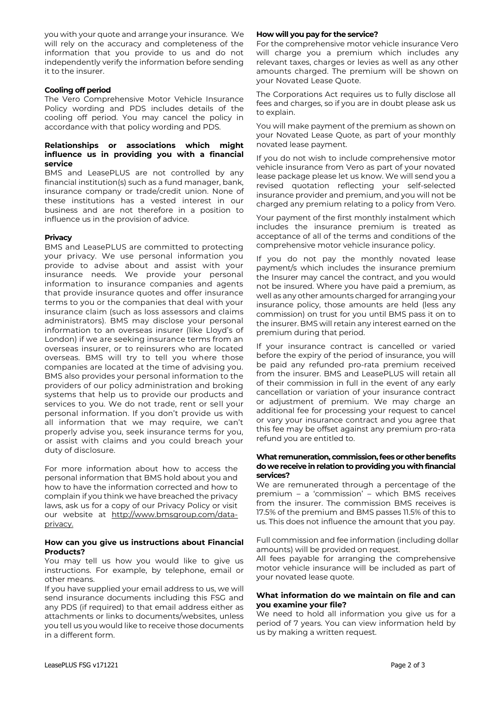you with your quote and arrange your insurance. We will rely on the accuracy and completeness of the information that you provide to us and do not independently verify the information before sending it to the insurer.

#### **Cooling off period**

The Vero Comprehensive Motor Vehicle Insurance Policy wording and PDS includes details of the cooling off period. You may cancel the policy in accordance with that policy wording and PDS.

#### **Relationships or associations which might influence us in providing you with a financial service**

BMS and LeasePLUS are not controlled by any financial institution(s) such as a fund manager, bank, insurance company or trade/credit union. None of these institutions has a vested interest in our business and are not therefore in a position to influence us in the provision of advice.

#### **Privacy**

BMS and LeasePLUS are committed to protecting your privacy. We use personal information you provide to advise about and assist with your insurance needs. We provide your personal information to insurance companies and agents that provide insurance quotes and offer insurance terms to you or the companies that deal with your insurance claim (such as loss assessors and claims administrators). BMS may disclose your personal information to an overseas insurer (like Lloyd's of London) if we are seeking insurance terms from an overseas insurer, or to reinsurers who are located overseas. BMS will try to tell you where those companies are located at the time of advising you. BMS also provides your personal information to the providers of our policy administration and broking systems that help us to provide our products and services to you. We do not trade, rent or sell your personal information. If you don't provide us with all information that we may require, we can't properly advise you, seek insurance terms for you, or assist with claims and you could breach your duty of disclosure.

For more information about how to access the personal information that BMS hold about you and how to have the information corrected and how to complain if you think we have breached the privacy laws, ask us for a copy of our Privacy Policy or visit our website at [http://www.bmsgroup.com/data](http://www.bmsgroup.com/data-privacy)[privacy.](http://www.bmsgroup.com/data-privacy)

#### **How can you give us instructions about Financial Products?**

You may tell us how you would like to give us instructions. For example, by telephone, email or other means.

If you have supplied your email address to us, we will send insurance documents including this FSG and any PDS (if required) to that email address either as attachments or links to documents/websites, unless you tell us you would like to receive those documents in a different form.

#### **How will you pay for the service?**

For the comprehensive motor vehicle insurance Vero will charge you a premium which includes any relevant taxes, charges or levies as well as any other amounts charged. The premium will be shown on your Novated Lease Quote.

The Corporations Act requires us to fully disclose all fees and charges, so if you are in doubt please ask us to explain.

You will make payment of the premium as shown on your Novated Lease Quote, as part of your monthly novated lease payment.

If you do not wish to include comprehensive motor vehicle insurance from Vero as part of your novated lease package please let us know. We will send you a revised quotation reflecting your self-selected insurance provider and premium, and you will not be charged any premium relating to a policy from Vero.

Your payment of the first monthly instalment which includes the insurance premium is treated as acceptance of all of the terms and conditions of the comprehensive motor vehicle insurance policy.

If you do not pay the monthly novated lease payment/s which includes the insurance premium the Insurer may cancel the contract, and you would not be insured. Where you have paid a premium, as well as any other amounts charged for arranging your insurance policy, those amounts are held (less any commission) on trust for you until BMS pass it on to the insurer. BMS will retain any interest earned on the premium during that period.

If your insurance contract is cancelled or varied before the expiry of the period of insurance, you will be paid any refunded pro-rata premium received from the insurer. BMS and LeasePLUS will retain all of their commission in full in the event of any early cancellation or variation of your insurance contract or adjustment of premium. We may charge an additional fee for processing your request to cancel or vary your insurance contract and you agree that this fee may be offset against any premium pro-rata refund you are entitled to.

#### **What remuneration, commission, fees or other benefits do we receive in relation to providing you with financial services?**

We are remunerated through a percentage of the premium – a 'commission' – which BMS receives from the insurer. The commission BMS receives is 17.5% of the premium and BMS passes 11.5% of this to us. This does not influence the amount that you pay.

Full commission and fee information (including dollar amounts) will be provided on request.

All fees payable for arranging the comprehensive motor vehicle insurance will be included as part of your novated lease quote.

#### **What information do we maintain on file and can you examine your file?**

We need to hold all information you give us for a period of 7 years. You can view information held by us by making a written request.